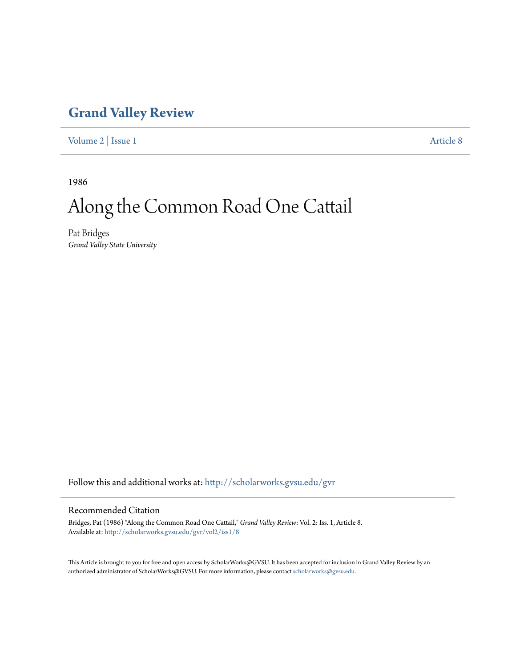## **[Grand Valley Review](http://scholarworks.gvsu.edu/gvr?utm_source=scholarworks.gvsu.edu%2Fgvr%2Fvol2%2Fiss1%2F8&utm_medium=PDF&utm_campaign=PDFCoverPages)**

[Volume 2](http://scholarworks.gvsu.edu/gvr/vol2?utm_source=scholarworks.gvsu.edu%2Fgvr%2Fvol2%2Fiss1%2F8&utm_medium=PDF&utm_campaign=PDFCoverPages) | [Issue 1](http://scholarworks.gvsu.edu/gvr/vol2/iss1?utm_source=scholarworks.gvsu.edu%2Fgvr%2Fvol2%2Fiss1%2F8&utm_medium=PDF&utm_campaign=PDFCoverPages) [Article 8](http://scholarworks.gvsu.edu/gvr/vol2/iss1/8?utm_source=scholarworks.gvsu.edu%2Fgvr%2Fvol2%2Fiss1%2F8&utm_medium=PDF&utm_campaign=PDFCoverPages)

1986

## Along the Common Road One Cattail

Pat Bridges *Grand Valley State University*

Follow this and additional works at: [http://scholarworks.gvsu.edu/gvr](http://scholarworks.gvsu.edu/gvr?utm_source=scholarworks.gvsu.edu%2Fgvr%2Fvol2%2Fiss1%2F8&utm_medium=PDF&utm_campaign=PDFCoverPages)

## Recommended Citation

Bridges, Pat (1986) "Along the Common Road One Cattail," *Grand Valley Review*: Vol. 2: Iss. 1, Article 8. Available at: [http://scholarworks.gvsu.edu/gvr/vol2/iss1/8](http://scholarworks.gvsu.edu/gvr/vol2/iss1/8?utm_source=scholarworks.gvsu.edu%2Fgvr%2Fvol2%2Fiss1%2F8&utm_medium=PDF&utm_campaign=PDFCoverPages)

This Article is brought to you for free and open access by ScholarWorks@GVSU. It has been accepted for inclusion in Grand Valley Review by an authorized administrator of ScholarWorks@GVSU. For more information, please contact [scholarworks@gvsu.edu.](mailto:scholarworks@gvsu.edu)